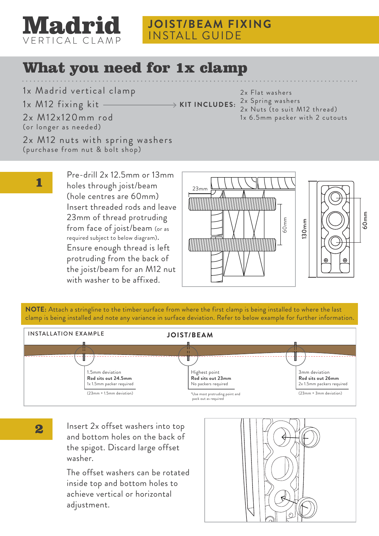

### What you need for 1x clamp

1x Madrid vertical clamp

1x M12 fixing kit

**KIT INCLUDES:**

2x Flat washers 2x Spring washers 2x Nuts (to suit M12 thread) 1x 6.5mm packer with 2 cutouts

2x M12x120mm rod (or longer as needed)

2x M12 nuts with spring washers (purchase from nut & bolt shop)

1

Pre-drill 2x 12.5mm or 13mm holes through joist/beam (hole centres are 60mm) Insert threaded rods and leave 23mm of thread protruding from face of joist/beam (or as required subject to below diagram). Ensure enough thread is left protruding from the back of the joist/beam for an M12 nut with washer to be affixed.





**NOTE:** Attach a stringline to the timber surface from where the first clamp is being installed to where the last clamp is being installed and note any variance in surface deviation. Refer to below example for further information.



2

Insert 2x offset washers into top and bottom holes on the back of the spigot. Discard large offset washer.

The offset washers can be rotated inside top and bottom holes to achieve vertical or horizontal adjustment.

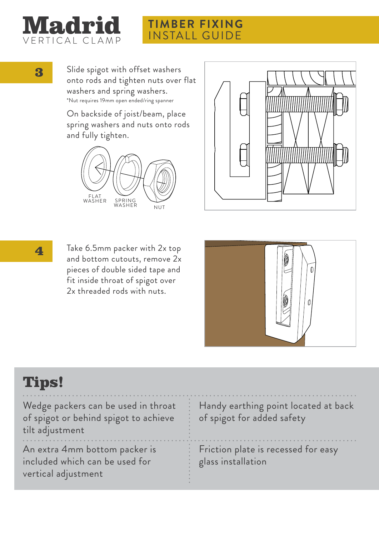

### **TIMBER FIXING** INSTALL GUIDE

3 Slide spigot with offset washers onto rods and tighten nuts over flat washers and spring washers. \*Nut requires 19mm open ended/ring spanner

> On backside of joist/beam, place spring washers and nuts onto rods and fully tighten.







**4** Take 6.5mm packer with 2x top and bottom cutouts, remove 2x pieces of double sided tape and fit inside throat of spigot over 2x threaded rods with nuts.



## Tips!

Wedge packers can be used in throat of spigot or behind spigot to achieve tilt adjustment

An extra 4mm bottom packer is included which can be used for vertical adjustment

Handy earthing point located at back of spigot for added safety

Friction plate is recessed for easy glass installation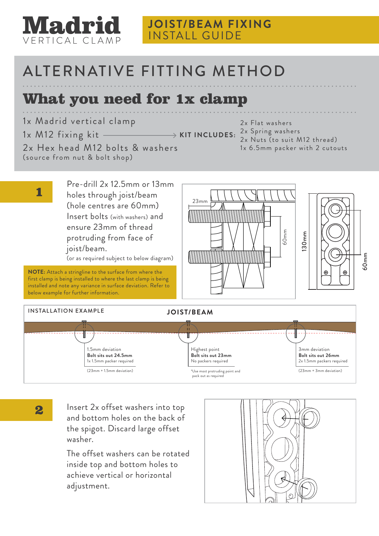

### **JOIST/BEAM FIXING** INSTALL GUIDE

# ALTERNATIVE FITTING METHOD

## What you need for 1x clamp

1x Madrid vertical clamp

joist/beam.

below example for further information.

**NOTE:** Attach a stringline to the surface from where the first clamp is being installed to where the last clamp is being installed and note any variance in surface deviation. Refer to

1x M12 fixing kit 2x Hex head M12 bolts & washers (source from nut & bolt shop)

Pre-drill 2x 12.5mm or 13mm

(or as required subject to below diagram)

holes through joist/beam (hole centres are 60mm) Insert bolts (with washers) and ensure 23mm of thread protruding from face of

2x Flat washers 2x Spring washers **KIT INCLUDES:** 2x Nuts (to suit M12 thread)

1x 6.5mm packer with 2 cutouts







1

2 Insert 2x offset washers into top and bottom holes on the back of the spigot. Discard large offset washer.

> The offset washers can be rotated inside top and bottom holes to achieve vertical or horizontal adjustment.